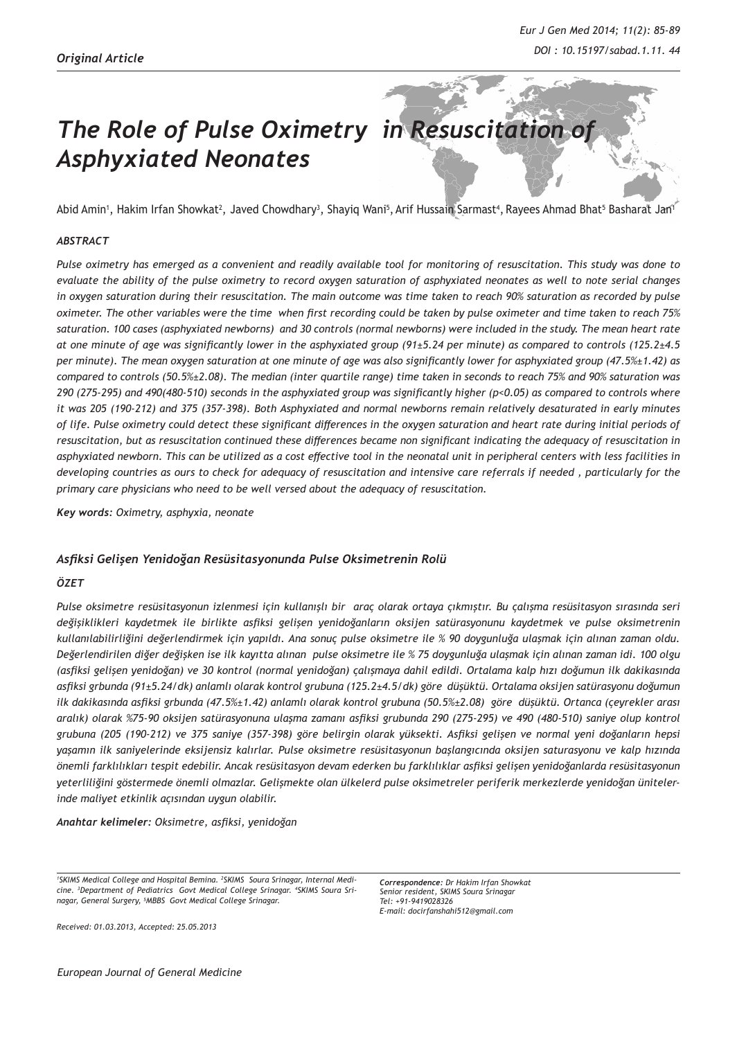# **The Role of Pulse Oximetry in Resuscitation of** *Asphyxiated Neonates*

Abid Amin', Hakim Irfan Showkat<sup>2</sup>, Javed Chowdhary<sup>3</sup>, Shayiq Wani<sup>s</sup>, Arif Hussain Sarmast<sup>4</sup>, Rayees Ahmad Bhat<sup>s</sup> Basharat Jan<sup>1</sup>

#### *ABSTRACT*

*Pulse oximetry has emerged as a convenient and readily available tool for monitoring of resuscitation. This study was done to evaluate the ability of the pulse oximetry to record oxygen saturation of asphyxiated neonates as well to note serial changes in oxygen saturation during their resuscitation. The main outcome was time taken to reach 90% saturation as recorded by pulse oximeter. The other variables were the time when first recording could be taken by pulse oximeter and time taken to reach 75% saturation. 100 cases (asphyxiated newborns) and 30 controls (normal newborns) were included in the study. The mean heart rate at one minute of age was significantly lower in the asphyxiated group (91±5.24 per minute) as compared to controls (125.2±4.5 per minute). The mean oxygen saturation at one minute of age was also significantly lower for asphyxiated group (47.5%±1.42) as compared to controls (50.5%±2.08). The median (inter quartile range) time taken in seconds to reach 75% and 90% saturation was 290 (275-295) and 490(480-510) seconds in the asphyxiated group was significantly higher (p<0.05) as compared to controls where it was 205 (190-212) and 375 (357-398). Both Asphyxiated and normal newborns remain relatively desaturated in early minutes of life. Pulse oximetry could detect these significant differences in the oxygen saturation and heart rate during initial periods of resuscitation, but as resuscitation continued these differences became non significant indicating the adequacy of resuscitation in asphyxiated newborn. This can be utilized as a cost effective tool in the neonatal unit in peripheral centers with less facilities in developing countries as ours to check for adequacy of resuscitation and intensive care referrals if needed , particularly for the primary care physicians who need to be well versed about the adequacy of resuscitation.*

*Key words: Oximetry, asphyxia, neonate* 

## *Asfiksi Gelişen Yenidoğan Resüsitasyonunda Pulse Oksimetrenin Rolü*

#### *ÖZET*

*Pulse oksimetre resüsitasyonun izlenmesi için kullanışlı bir araç olarak ortaya çıkmıştır. Bu çalışma resüsitasyon sırasında seri değişiklikleri kaydetmek ile birlikte asfiksi gelişen yenidoğanların oksijen satürasyonunu kaydetmek ve pulse oksimetrenin kullanılabilirliğini değerlendirmek için yapıldı. Ana sonuç pulse oksimetre ile % 90 doygunluğa ulaşmak için alınan zaman oldu. Değerlendirilen diğer değişken ise ilk kayıtta alınan pulse oksimetre ile % 75 doygunluğa ulaşmak için alınan zaman idi. 100 olgu (asfiksi gelişen yenidoğan) ve 30 kontrol (normal yenidoğan) çalışmaya dahil edildi. Ortalama kalp hızı doğumun ilk dakikasında asfiksi grbunda (91±5.24/dk) anlamlı olarak kontrol grubuna (125.2±4.5/dk) göre düşüktü. Ortalama oksijen satürasyonu doğumun ilk dakikasında asfiksi grbunda (47.5%±1.42) anlamlı olarak kontrol grubuna (50.5%±2.08) göre düşüktü. Ortanca (çeyrekler arası aralık) olarak %75-90 oksijen satürasyonuna ulaşma zamanı asfiksi grubunda 290 (275-295) ve 490 (480-510) saniye olup kontrol grubuna (205 (190-212) ve 375 saniye (357-398) göre belirgin olarak yüksekti. Asfiksi gelişen ve normal yeni doğanların hepsi yaşamın ilk saniyelerinde eksijensiz kalırlar. Pulse oksimetre resüsitasyonun başlangıcında oksijen saturasyonu ve kalp hızında önemli farklılıkları tespit edebilir. Ancak resüsitasyon devam ederken bu farklılıklar asfiksi gelişen yenidoğanlarda resüsitasyonun yeterliliğini göstermede önemli olmazlar. Gelişmekte olan ülkelerd pulse oksimetreler periferik merkezlerde yenidoğan ünitelerinde maliyet etkinlik açısından uygun olabilir.* 

*Anahtar kelimeler: Oksimetre, asfiksi, yenidoğan*

*1 SKIMS Medical College and Hospital Bemina. 2 SKIMS Soura Srinagar, Internal Medicine. 3 Department of Pediatrics Govt Medical College Srinagar. 4 SKIMS Soura Srinagar, General Surgery, 5 MBBS Govt Medical College Srinagar.*

*Correspondence: Dr Hakim Irfan Showkat Senior resident, SKIMS Soura Srinagar Tel: +91-9419028326 E-mail: docirfanshahi512@gmail.com*

*Received: 01.03.2013, Accepted: 25.05.2013*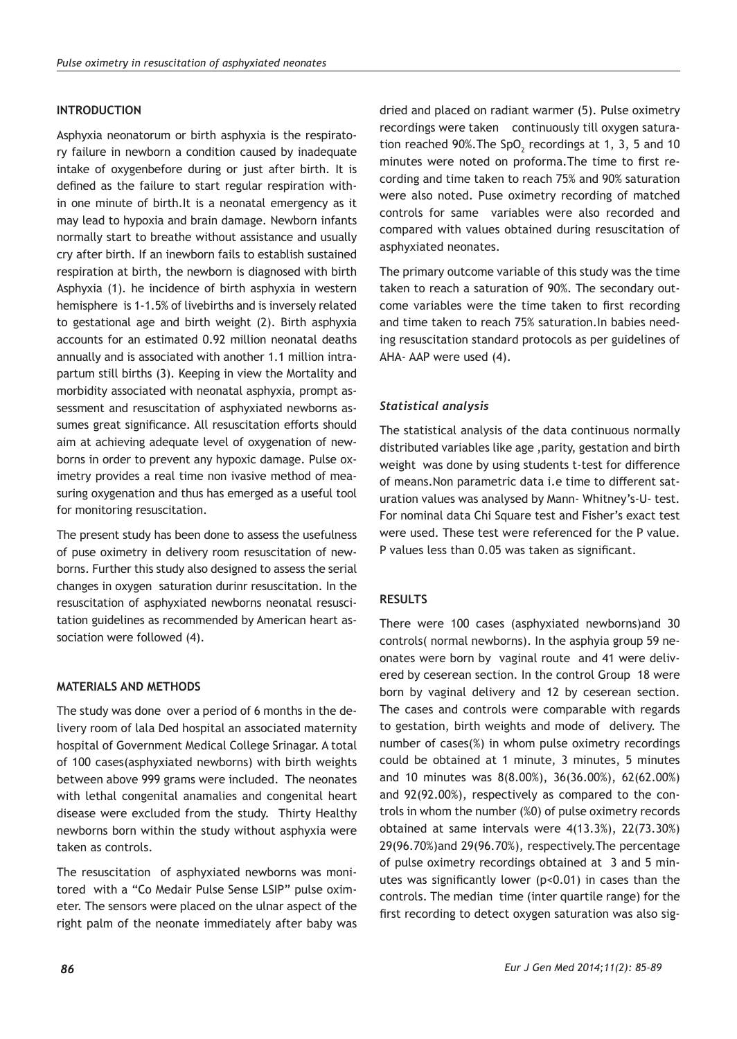## **INTRODUCTION**

Asphyxia neonatorum or birth asphyxia is the respiratory failure in newborn a condition caused by inadequate intake of oxygenbefore during or just after birth. It is defined as the failure to start regular respiration within one minute of birth.It is a neonatal emergency as it may lead to hypoxia and brain damage. Newborn infants normally start to breathe without assistance and usually cry after birth. If an inewborn fails to establish sustained respiration at birth, the newborn is diagnosed with birth Asphyxia (1). he incidence of birth asphyxia in western hemisphere is 1-1.5% of livebirths and is inversely related to gestational age and birth weight (2). Birth asphyxia accounts for an estimated 0.92 million neonatal deaths annually and is associated with another 1.1 million intrapartum still births (3). Keeping in view the Mortality and morbidity associated with neonatal asphyxia, prompt assessment and resuscitation of asphyxiated newborns assumes great significance. All resuscitation efforts should aim at achieving adequate level of oxygenation of newborns in order to prevent any hypoxic damage. Pulse oximetry provides a real time non ivasive method of measuring oxygenation and thus has emerged as a useful tool for monitoring resuscitation.

The present study has been done to assess the usefulness of puse oximetry in delivery room resuscitation of newborns. Further this study also designed to assess the serial changes in oxygen saturation durinr resuscitation. In the resuscitation of asphyxiated newborns neonatal resuscitation guidelines as recommended by American heart association were followed (4).

## **MATERIALS AND METHODS**

The study was done over a period of 6 months in the delivery room of lala Ded hospital an associated maternity hospital of Government Medical College Srinagar. A total of 100 cases(asphyxiated newborns) with birth weights between above 999 grams were included. The neonates with lethal congenital anamalies and congenital heart disease were excluded from the study. Thirty Healthy newborns born within the study without asphyxia were taken as controls.

The resuscitation of asphyxiated newborns was monitored with a "Co Medair Pulse Sense LSIP" pulse oximeter. The sensors were placed on the ulnar aspect of the right palm of the neonate immediately after baby was

dried and placed on radiant warmer (5). Pulse oximetry recordings were taken continuously till oxygen saturation reached 90%. The SpO<sub>2</sub> recordings at 1, 3, 5 and 10 minutes were noted on proforma.The time to first recording and time taken to reach 75% and 90% saturation were also noted. Puse oximetry recording of matched controls for same variables were also recorded and compared with values obtained during resuscitation of asphyxiated neonates.

The primary outcome variable of this study was the time taken to reach a saturation of 90%. The secondary outcome variables were the time taken to first recording and time taken to reach 75% saturation.In babies needing resuscitation standard protocols as per guidelines of AHA- AAP were used (4).

## *Statistical analysis*

The statistical analysis of the data continuous normally distributed variables like age ,parity, gestation and birth weight was done by using students t-test for difference of means.Non parametric data i.e time to different saturation values was analysed by Mann- Whitney's-U- test. For nominal data Chi Square test and Fisher's exact test were used. These test were referenced for the P value. P values less than 0.05 was taken as significant.

## **RESULTS**

There were 100 cases (asphyxiated newborns)and 30 controls( normal newborns). In the asphyia group 59 neonates were born by vaginal route and 41 were delivered by ceserean section. In the control Group 18 were born by vaginal delivery and 12 by ceserean section. The cases and controls were comparable with regards to gestation, birth weights and mode of delivery. The number of cases(%) in whom pulse oximetry recordings could be obtained at 1 minute, 3 minutes, 5 minutes and 10 minutes was 8(8.00%), 36(36.00%), 62(62.00%) and 92(92.00%), respectively as compared to the controls in whom the number (%0) of pulse oximetry records obtained at same intervals were 4(13.3%), 22(73.30%) 29(96.70%)and 29(96.70%), respectively.The percentage of pulse oximetry recordings obtained at 3 and 5 minutes was significantly lower (p<0.01) in cases than the controls. The median time (inter quartile range) for the first recording to detect oxygen saturation was also sig-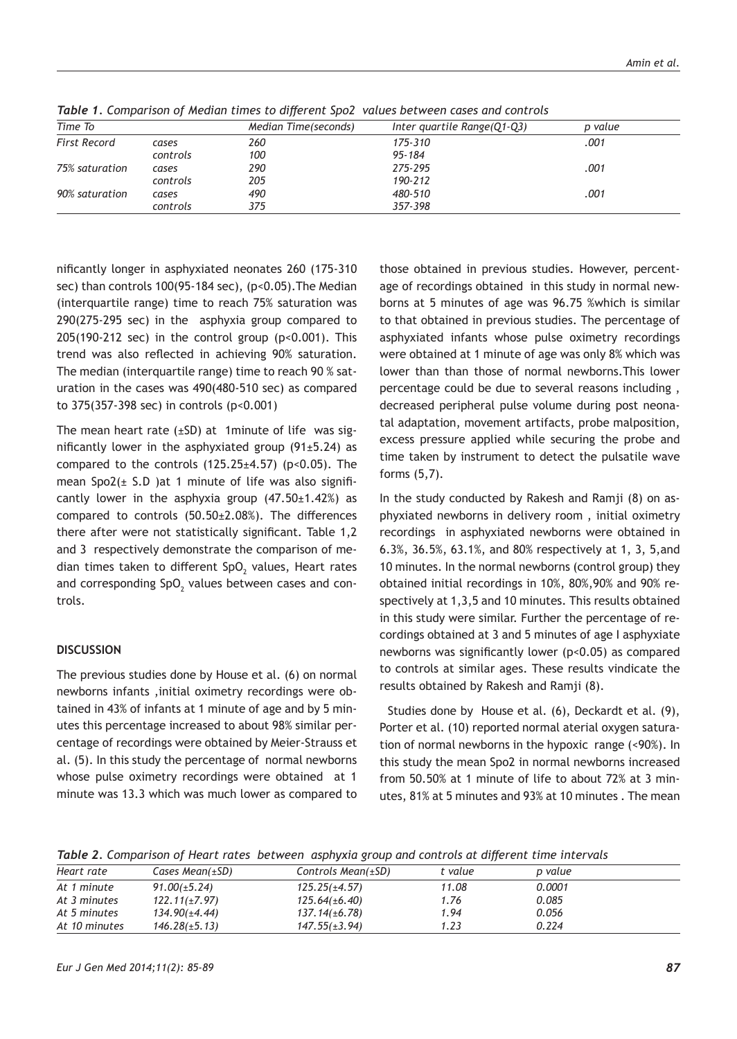| Time To             |          | Median Time(seconds) | Inter quartile Range(Q1-Q3) | p value |
|---------------------|----------|----------------------|-----------------------------|---------|
| <b>First Record</b> | cases    | 260                  | 175-310                     | .001    |
|                     | controls | 100                  | 95-184                      |         |
| 75% saturation      | cases    | 290                  | 275-295                     | .001    |
|                     | controls | 205                  | 190-212                     |         |
| 90% saturation      | cases    | 490                  | 480-510                     | .001    |
|                     | controls | 375                  | 357-398                     |         |

*Table 1. Comparison of Median times to different Spo2 values between cases and controls*

nificantly longer in asphyxiated neonates 260 (175-310 sec) than controls 100(95-184 sec), (p<0.05). The Median (interquartile range) time to reach 75% saturation was 290(275-295 sec) in the asphyxia group compared to 205(190-212 sec) in the control group (p<0.001). This trend was also reflected in achieving 90% saturation. The median (interquartile range) time to reach 90 % saturation in the cases was 490(480-510 sec) as compared to 375(357-398 sec) in controls (p<0.001)

The mean heart rate  $(\pm SD)$  at 1minute of life was significantly lower in the asphyxiated group (91±5.24) as compared to the controls  $(125.25 \pm 4.57)$  (p<0.05). The mean  $Spo2(\pm S.D)$  at 1 minute of life was also significantly lower in the asphyxia group  $(47.50 \pm 1.42\%)$  as compared to controls (50.50±2.08%). The differences there after were not statistically significant. Table 1,2 and 3 respectively demonstrate the comparison of median times taken to different SpO $_2$  values, Heart rates and corresponding SpO $_2$  values between cases and controls.

#### **DISCUSSION**

The previous studies done by House et al. (6) on normal newborns infants ,initial oximetry recordings were obtained in 43% of infants at 1 minute of age and by 5 minutes this percentage increased to about 98% similar percentage of recordings were obtained by Meier-Strauss et al. (5). In this study the percentage of normal newborns whose pulse oximetry recordings were obtained at 1 minute was 13.3 which was much lower as compared to

those obtained in previous studies. However, percentage of recordings obtained in this study in normal newborns at 5 minutes of age was 96.75 %which is similar to that obtained in previous studies. The percentage of asphyxiated infants whose pulse oximetry recordings were obtained at 1 minute of age was only 8% which was lower than than those of normal newborns.This lower percentage could be due to several reasons including , decreased peripheral pulse volume during post neonatal adaptation, movement artifacts, probe malposition, excess pressure applied while securing the probe and time taken by instrument to detect the pulsatile wave forms (5,7).

In the study conducted by Rakesh and Ramji (8) on asphyxiated newborns in delivery room , initial oximetry recordings in asphyxiated newborns were obtained in 6.3%, 36.5%, 63.1%, and 80% respectively at 1, 3, 5,and 10 minutes. In the normal newborns (control group) they obtained initial recordings in 10%, 80%,90% and 90% respectively at 1,3,5 and 10 minutes. This results obtained in this study were similar. Further the percentage of recordings obtained at 3 and 5 minutes of age I asphyxiate newborns was significantly lower (p<0.05) as compared to controls at similar ages. These results vindicate the results obtained by Rakesh and Ramji (8).

 Studies done by House et al. (6), Deckardt et al. (9), Porter et al. (10) reported normal aterial oxygen saturation of normal newborns in the hypoxic range (<90%). In this study the mean Spo2 in normal newborns increased from 50.50% at 1 minute of life to about 72% at 3 minutes, 81% at 5 minutes and 93% at 10 minutes . The mean

*Table 2. Comparison of Heart rates between asphyxia group and controls at different time intervals*

| Heart rate    | Cases Mean $(\pm SD)$ | Controls Mean $(\pm SD)$ | t value | p value |  |
|---------------|-----------------------|--------------------------|---------|---------|--|
| At 1 minute   | $91.00(\pm 5.24)$     | $125.25(\pm 4.57)$       | 11.08   | 0.0001  |  |
| At 3 minutes  | $122.11(\pm 7.97)$    | $125.64(\pm 6.40)$       | 1.76    | 0.085   |  |
| At 5 minutes  | 134.90(±4.44)         | $137.14(\pm 6.78)$       | 1.94    | 0.056   |  |
| At 10 minutes | $146.28(\pm 5.13)$    | $147.55(\pm 3.94)$       | 1.23    | 0.224   |  |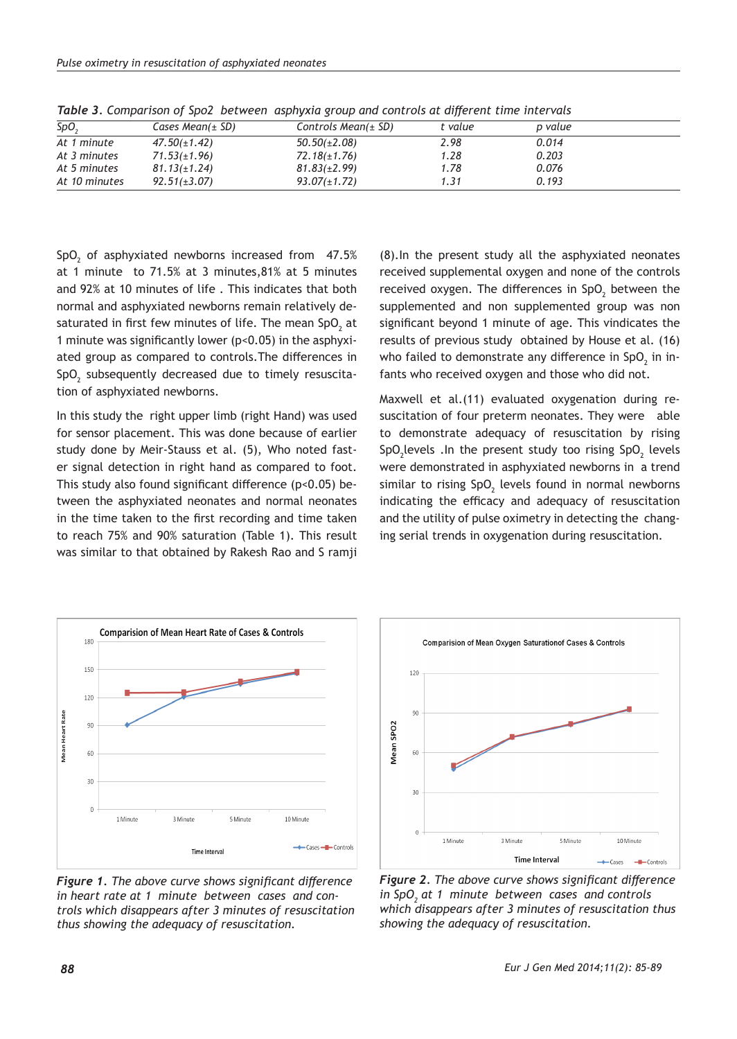| <b>SpO</b>    | Cases Mean( $\pm$ SD) | Controls Mean( $\pm$ SD) | t value | p value |  |
|---------------|-----------------------|--------------------------|---------|---------|--|
| At 1 minute   | $47.50(\pm1.42)$      | $50.50(\pm2.08)$         | 2.98    | 0.014   |  |
| At 3 minutes  | $71.53(\pm 1.96)$     | $72.18(\pm 1.76)$        | 1.28    | 0.203   |  |
| At 5 minutes  | $81.13(\pm 1.24)$     | $81.83(\pm 2.99)$        | 1.78    | 0.076   |  |
| At 10 minutes | $92.51(\pm3.07)$      | $93.07(\pm 1.72)$        | 1.31    | 0.193   |  |

*Table 3. Comparison of Spo2 between asphyxia group and controls at different time intervals*

 $\textsf{SpO}_2$  of asphyxiated newborns increased from 47.5% at 1 minute to 71.5% at 3 minutes,81% at 5 minutes and 92% at 10 minutes of life . This indicates that both normal and asphyxiated newborns remain relatively desaturated in first few minutes of life. The mean SpO $_{\textrm{\tiny{2}}}$  at 1 minute was significantly lower (p<0.05) in the asphyxiated group as compared to controls.The differences in  $\mathsf{SpO}_2$  subsequently decreased due to timely resuscitation of asphyxiated newborns.

In this study the right upper limb (right Hand) was used for sensor placement. This was done because of earlier study done by Meir-Stauss et al. (5), Who noted faster signal detection in right hand as compared to foot. This study also found significant difference (p<0.05) between the asphyxiated neonates and normal neonates in the time taken to the first recording and time taken to reach 75% and 90% saturation (Table 1). This result was similar to that obtained by Rakesh Rao and S ramji

(8).In the present study all the asphyxiated neonates received supplemental oxygen and none of the controls received oxygen. The differences in SpO<sub>2</sub> between the supplemented and non supplemented group was non significant beyond 1 minute of age. This vindicates the results of previous study obtained by House et al. (16) who failed to demonstrate any difference in SpO $_2$  in infants who received oxygen and those who did not.

Maxwell et al.(11) evaluated oxygenation during resuscitation of four preterm neonates. They were able to demonstrate adequacy of resuscitation by rising  $SpO<sub>2</sub>$  levels . In the present study too rising  $SpO<sub>2</sub>$  levels were demonstrated in asphyxiated newborns in a trend similar to rising SpO $_2$  levels found in normal newborns indicating the efficacy and adequacy of resuscitation and the utility of pulse oximetry in detecting the changing serial trends in oxygenation during resuscitation.



*Figure 1. The above curve shows significant difference in heart rate at 1 minute between cases and controls which disappears after 3 minutes of resuscitation thus showing the adequacy of resuscitation.*



*Figure 2. The above curve shows significant difference in SpO<sup>2</sup> at 1 minute between cases and controls which disappears after 3 minutes of resuscitation thus showing the adequacy of resuscitation.*